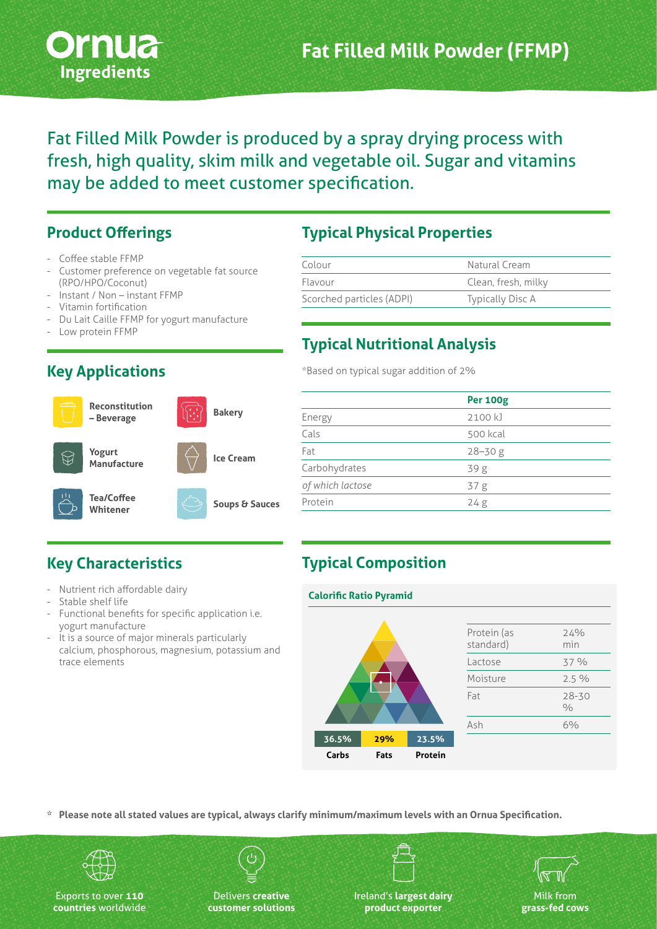

Fat Filled Milk Powder is produced by a spray drying process with fresh, high quality, skim milk and vegetable oil. Sugar and vitamins may be added to meet customer specification.

#### **Product Offerings**

- Coffee stable FFMP
- Customer preference on vegetable fat source (RPO/HPO/Coconut)
- Instant / Non instant FFMP
- Vitamin fortification
- Du Lait Caille FFMP for yogurt manufacture
- Low protein FFMP

#### **Reconstitution – Beverage Yogurt Manufacture Tea/Coffee Whitener Bakery Ice Cream Soups & Sauces**

| <b>Typical Physical Properties</b> |  |  |
|------------------------------------|--|--|
|                                    |  |  |

| Colour                    | Natural Cream           |  |
|---------------------------|-------------------------|--|
| Flavour                   | Clean, fresh, milky     |  |
| Scorched particles (ADPI) | <b>Typically Disc A</b> |  |

#### **Typical Nutritional Analysis**

\*Based on typical sugar addition of 2%

|                  | <b>Per 100g</b> |  |
|------------------|-----------------|--|
| Energy           | 2100 kJ         |  |
| Cals             | 500 kcal        |  |
| Fat              | $28 - 30g$      |  |
| Carbohydrates    | 39g             |  |
| of which lactose | 37 <sub>g</sub> |  |
| Protein          | 24g             |  |
|                  |                 |  |

### **Key Characteristics**

- Nutrient rich affordable dairy
- Stable shelf life
- Functional benefits for specific application i.e. yogurt manufacture
- It is a source of major minerals particularly calcium, phosphorous, magnesium, potassium and trace elements

#### **Typical Composition**

# **36.5% 29% 23.5% Carbs Fats Protein Calorific Ratio Pyramid**

| Protein (as<br>standard) | 24%<br>min                 |
|--------------------------|----------------------------|
| Lactose                  | 37 %                       |
| Moisture                 | 2.5%                       |
| Fat                      | $28 - 30$<br>$\frac{0}{0}$ |
| Ash                      | 6%                         |
|                          |                            |

**\* Please note all stated values are typical, always clarify minimum/maximum levels with an Ornua Specification.**



Exports to over **110 countries** worldwide

Delivers **creative customer solutions** Ireland's **largest dairy product exporter**



#### **Key Applications**